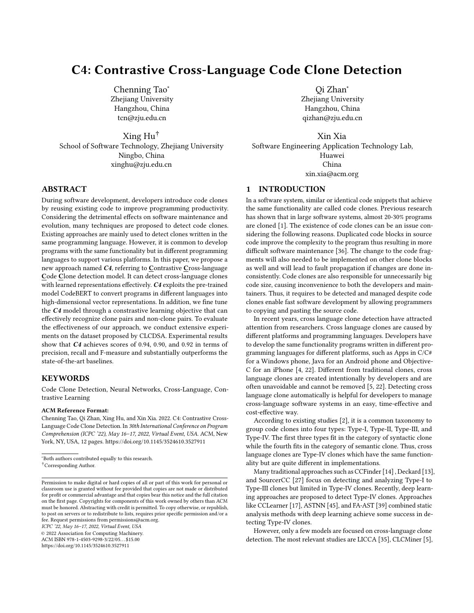# C4: Contrastive Cross-Language Code Clone Detection

[Chenning Tao](https://orcid.org/0000-0002-9221-0317)<sup>∗</sup> Zhejiang University Hangzhou, China tcn@zju.edu.cn

Xing Hu† School of Software Technology, Zhejiang University Ningbo, China xinghu@zju.edu.cn

# ABSTRACT

During software development, developers introduce code clones by reusing existing code to improve programming productivity. Considering the detrimental effects on software maintenance and evolution, many techniques are proposed to detect code clones. Existing approaches are mainly used to detect clones written in the same programming language. However, it is common to develop programs with the same functionality but in different programming languages to support various platforms. In this paper, we propose a new approach named C4, referring to Contrastive Cross-language Code Clone detection model. It can detect cross-language clones with learned representations effectively. C4 exploits the pre-trained model CodeBERT to convert programs in different languages into high-dimensional vector representations. In addition, we fine tune the C4 model through a constrastive learning objective that can effectively recognize clone pairs and non-clone pairs. To evaluate the effectiveness of our approach, we conduct extensive experiments on the dataset proposed by CLCDSA. Experimental results show that C4 achieves scores of 0.94, 0.90, and 0.92 in terms of precision, recall and F-measure and substantially outperforms the state-of-the-art baselines.

## **KEYWORDS**

Code Clone Detection, Neural Networks, Cross-Language, Contrastive Learning

#### ACM Reference Format:

Chenning Tao, Qi Zhan, Xing Hu, and Xin Xia. 2022. C4: Contrastive Cross-Language Code Clone Detection. In 30th International Conference on Program Comprehension (ICPC '22), May 16–17, 2022, Virtual Event, USA. ACM, New York, NY, USA, [12](#page-11-0) pages.<https://doi.org/10.1145/3524610.3527911>

ICPC '22, May 16–17, 2022, Virtual Event, USA

© 2022 Association for Computing Machinery.

ACM ISBN 978-1-4503-9298-3/22/05. . . \$15.00 <https://doi.org/10.1145/3524610.3527911>

[Qi Zhan](https://orcid.org/0000-0002-6800-1857)<sup>∗</sup> Zhejiang University Hangzhou, China qizhan@zju.edu.cn

Xin Xia Software Engineering Application Technology Lab, Huawei China xin.xia@acm.org

# 1 INTRODUCTION

In a software system, similar or identical code snippets that achieve the same functionality are called code clones. Previous research has shown that in large software systems, almost 20-30% programs are cloned [\[1\]](#page-10-0). The existence of code clones can be an issue considering the following reasons. Duplicated code blocks in source code improve the complexity to the program thus resulting in more difficult software maintenance [\[36\]](#page-10-1). The change to the code fragments will also needed to be implemented on other clone blocks as well and will lead to fault propagation if changes are done inconsistently. Code clones are also responsible for unnecessarily big code size, causing inconvenience to both the developers and maintainers. Thus, it requires to be detected and managed despite code clones enable fast software development by allowing programmers to copying and pasting the source code.

In recent years, cross language clone detection have attracted attention from researchers. Cross language clones are caused by different platforms and programming languages. Developers have to develop the same functionality programs written in different programming languages for different platforms, such as Apps in C/C# for a Windows phone, Java for an Android phone and Objective-C for an iPhone [\[4,](#page-10-2) [22\]](#page-10-3). Different from traditional clones, cross language clones are created intentionally by developers and are often unavoidable and cannot be removed [\[5,](#page-10-4) [22\]](#page-10-3). Detecting cross language clone automatically is helpful for developers to manage cross-language software systems in an easy, time-effective and cost-effective way.

According to existing studies [\[2\]](#page-10-5), it is a common taxonomy to group code clones into four types: Type-I, Type-II, Type-III, and Type-IV. The first three types fit in the category of syntactic clone while the fourth fits in the category of semantic clone. Thus, cross language clones are Type-IV clones which have the same functionality but are quite different in implementations.

Many traditional approaches such as CCFinder [\[14\]](#page-10-6) , Deckard [\[13\]](#page-10-7), and SourcerCC [\[27\]](#page-10-8) focus on detecting and analyzing Type-I to Type-III clones but limited in Type-IV clones. Recently, deep learning approaches are proposed to detect Type-IV clones. Approaches like CCLearner [\[17\]](#page-10-9), ASTNN [\[45\]](#page-11-1), and FA-AST [\[39\]](#page-11-2) combined static analysis methods with deep learning achieve some success in detecting Type-IV clones.

However, only a few models are focused on cross-language clone detection. The most relevant studies are LICCA [\[35\]](#page-10-10), CLCMiner [\[5\]](#page-10-4),

<sup>∗</sup>Both authors contributed equally to this research. †Corresponding Author.

Permission to make digital or hard copies of all or part of this work for personal or classroom use is granted without fee provided that copies are not made or distributed for profit or commercial advantage and that copies bear this notice and the full citation on the first page. Copyrights for components of this work owned by others than ACM must be honored. Abstracting with credit is permitted. To copy otherwise, or republish, to post on servers or to redistribute to lists, requires prior specific permission and/or a fee. Request permissions from permissions@acm.org.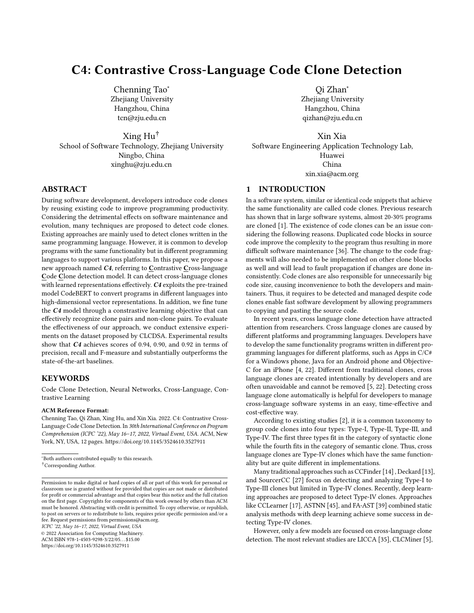and CLCDSA [\[22\]](#page-10-3). LICCA needs the SSQSA [\[25\]](#page-10-11) platform to generate common intermediate representations for different languages and needs the code to be of equal length, which seriously limits its application in the real scenario. CLCMiner does not require those but it can only work with code with revision history, thus also having serious limitations. CLCDSA does not require the intermediate representation or revision history, but it requires an Abstract Syntax Tree (AST) to extract features manually and its performance is not very well. The limited application range and low precision and recall make it hard to be applied in real-world scenarios.

Compared to a single language clone detect, cross-language clone detection is much more difficult. To detect cross-language code clones effectively, our task is challenging since:

Programs are heterogeneous. Basic grammar and APIs can be very different across different programming languages. It is hard for static analysis tools to illustrate different internal mechanisms and characteristics in programs. Deep learning based approaches are effective in mapping code snippets into high-dimensional vector space. However, many existing deep learning approaches are proposed to detect single language code clones [\[40,](#page-11-3) [41,](#page-11-4) [45\]](#page-11-1).

Distinguish clone/non-clone pairs. Distinguishing clone or non-clone pairs in high-dimensional vector space is difficult. Existing studies usually measure the vector distances (e.g., Cosine Similarity) to detect clone pairs. However, two code fragments having identical functionality but different in lexical and syntax may not be recognized as similar by the existing models. Likewise, these models cannot distinguish between two code fragments that differ in functionalities but share a close syntactic resemblance.

To address the above issues, we propose a new approach named C4 that exploits the pre-trained model CodeBERT [\[9\]](#page-10-12) with a contrastive learning objective. ❶ First, CodeBERT is a pre-trained model on six different programming languages and achieves success in programming language processing. It can map cross-language programs into the same high-dimensional vector space effectively. Therefore, we exploit the CodeBERT to get program representations. ❷ Second, we exploit the contrastive learning to make functionally equivalent code closer and distinct code further. Existing contrastive learning works [\[3,](#page-10-13) [32,](#page-10-14) [43\]](#page-11-5) usually employ the following framework: pull together an anchor and a "positive" sample in the embedding space, and push apart the anchor from many "negative" samples. Since no labels are available, a positive pair often consists of data augmentations of the sample, and negative pairs are formed by the anchor and randomly chosen samples from the minibatch [\[15\]](#page-10-15). However, this framework is not ideal for our task since the randomly selected negative sample may actually be a positive clone pair. It will mislead the model to recognize clone pairs as non-clone pairs. To address this problem, we use contrastive learning in a supervised way and manually select negative samples from the batch.

To evaluate the effectiveness of our proposed approach  $C4$ , we conduct experiments on the CLCDSA dataset proposed by Nafi et al. [\[22\]](#page-10-3). Experimental results show that our approach outperforms the state-of-the-art approaches significantly. Compared to the stateof-the-art cross-language clone detection models, our approach

improves from 0.65 to 0.92 which improves about 41.5% in terms of the F1 score. In addition, compared with CodeBERT without contrastive learning, our approach improves 13.3% and 3.4% in terms of the Precision and F1 score. We also show program representations learned from C4, the distance between clone pairs is closer and non-clone pairs are further. It further proves the effectiveness of C4 on the cross-language clone detection.

In summary, the main contributions of this paper are summarized as follows:

We propose a new cross-language clone detection method named C4. It exploits the CodeBERT with contrastive learning to learn code representations effectively.

We evaluate the effectiveness of  $C4$  on the CLCDSA dataset. The experimental results show that  $C4$  outperforms the stateof-the-art clone detection approaches.

The remainder of the paper is organized as follows: Section [2](#page-1-0) presents the background information of our paper. Section [3](#page-3-0) discusses the architectural design of the model. Section [4](#page-4-0) and Section [5](#page-5-0) briefly discusses the evaluation and validation steps and results of C4. Section [6](#page-6-0) describes the probable threats to validity and how those were addressed. Section [7](#page-8-0) describes closely related work and Section [8](#page-9-0) concludes the paper.

# <span id="page-1-0"></span>2 BACKGROUND

#### 2.1 Code Clone

In software development, similar fragments that share the same functionality are called clones. Software clones are detrimental most time since they increase maintenance costs and make the system difficult to evolve, which lead to the development of clone detection.

Roy et al. [\[26\]](#page-10-16) summarized four type of code clones:

Type-I Clone: Identical code fragments except for variations in white-spaces and comments.

Type-II Clone: Structurally/syntactically identical fragments except for variations in the names of identifiers, literals, types, layout and comments.

Type-III Clone: Code fragments that exhibit similarity as of Type-II clones and also allow further differences such as additions, deletions or modifications of statements are known as Type-III clones.

Type-IV Clone: Code fragments that exhibit identical functional behaviour but can be implemented through very different syntactic structures.

In this paper, we detect programs with the same functionality but written in different programming languages. Different from single language code clones, cross-language clones are created intentionally because of multi-platforms development. Thus, crosslanguage clone pairs referred in this paper are Type-IV clone pairs. As the cross-language clones are unavoidable, we need to detect and manage them for developers. Figure [1](#page-2-0) shows an example of cross-language clone pair. We can find that the two programs aim to "count vowels permutations" but written in C++ and Python, respectively. The C++ language code and Python language code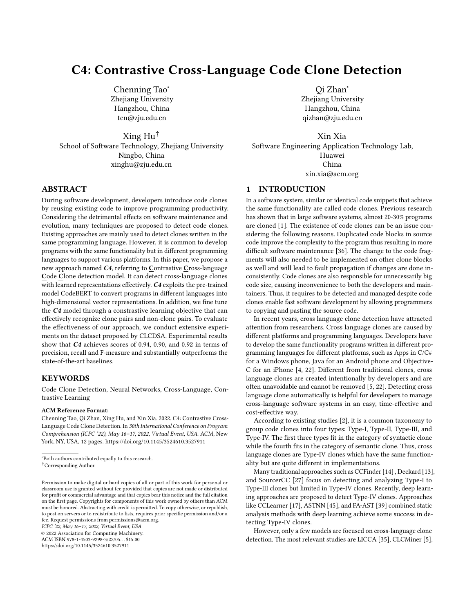#### <span id="page-2-0"></span>C4: Contrastive Cross-Language Code Clone Detection ICPC '22, May 16-17, 2022, Virtual Event, USA

#### **Solutions for "Count Vowels Permutation"**

```
int countVowelPermutation(int n) {
    long long mod = 1e9 + 7;
   vector<long long> dp(5, 1);
   vector<long long> ndp(5);
    for (int i = 2; i <= n; ++i) {
       ndp[0] = (dp[1] + dp[2] + dp[4]) % mod;
       ndp[1] = (dp[0] + dp[2]) % mod;
       ndp[2] = (dp[1] + dp[3]) % mod;
       ndp[3] = dp[2];ndp[4] = (dp[2] + dp[3]) % mod;
       dp = ndp;}
   return accumulate(dp.begin(), dp.end(), 0LL) % mod;
}
                                                     def countVowelPermutation(self, n: int) -> int:
                                                         factor = np.mat([0, 1, 0, 0, 0),(1, 0, 1, 0, 0),
                                                                         (1, 1, 0, 1, 1),
                                                                         (0, 0, 1, 0, 1),
                                                                         (1, 0, 0, 0, 0)], np.dtype('O'))
                                                         res = np_matrix([1, 1, 1, 1, 1), np.dtype('0'))n = 1while n > 0:
                                                            if n % 2 == 1:
                                                                res = res * factor % 1000000007
                                                            factor = factor * factor % 1000000007
                                                            n = n // 2
                                                         return res.sum() % 1000000007
C++ Solution: Python Solution:
```
#### Figure 1: Cross-language clone example

represent same functionality whereas very different in syntax. Compared with clone detection in the same programming languages, cross-languages clone detection has more challenges:

Basic grammar and characteristic are very different in different programming languages, it is difficult to measure code similarity through syntax analysis.

There are no general intermediate representation for different programming languages, we need to propose a new representation for all languages in order to measure code similarity.

Therefore, we propose C4 to address these challenges. C4 uses the CodeBERT as pre-trained model to convert different languages code fragments into the same vector representations so that we can unify process code snippets in different programming languages based on the same intermediate representations .

#### 2.2 Pre-trained Model

Pre-trained models have shown to be effective for NLP tasks and achieved the state-of-the-art results among many tasks [\[8,](#page-10-17) [19,](#page-10-18) [24,](#page-10-19) [38\]](#page-10-20). Recently, pre-trained models are also exploited in programming language processing tasks and achieve great results. For example, Liu et al. [\[18\]](#page-10-21) apply the BERT model to the code completion task. Gao et al. [\[11\]](#page-10-22) exploit the BERT to identify whether a TODO comment is obsolete and should be removed. In the following subsections, we will introduce the background information of Transformer, BERT, and CodeBERT.

2.2.1 Transformer. Transformer [\[34\]](#page-10-23) is a model originally designed for machine translation. Later, it is proven useful in other areas of natural language processing and also boosts the use of pre-trained models, such as BERT.

The overall architecture consists of an encoder and a decoder. The Encoder consists of a self-attention layer and a feed-forward layer. The attention layer assists the encoder in looking at additional words in the input text while encoding a certain word. The output of this is then fed into a feed-forward layer. Both of these layers are included in the decoder, but between them is an encoder-decoder attention layer that assists the decoder in focusing on key sections of the input sequence.

2.2.2 BERT. Bidirectional Encoder Representations from Transformer (BERT) [\[8\]](#page-10-17) applies bidirectional training of Transformer into language modeling. It has a deeper sense of language context and is trained on large-scale plain texts with self-supervised learning objectives. It can be reused for multiple related tasks through fine-tuning and achieving state-of-the-art performance.

BERT was pre-trained on two unsupervised tasks: Masked LM and Next Sentence Prediction (NSP). Masked LM masked 15% of words in each sentence randomly and let the model predict the masked word. NSP tries to improve the model's understanding of sentence relationship by letting the model predict whether these two languages are continuous.

The original paper described two model architecture: BERT<sub>base</sub> and BERT<sub>large</sub>. They all consist of stacks of Transformer encoders. The base model has 12 layers, the embedding size is 768 and the number of attention head is 12. The large model doubled layer number and changed embedding size to 1024 and attention head to 16.

2.2.3 CodeBERT. CodeBERT [\[9\]](#page-10-12) is a bimodal pre-trained model for programming language (PL) and natural language (NL). It is based on RoBERTa [\[20\]](#page-10-24) and utilizes both bimodal instances of NL-PL pairs and a large amount of PL pairs by using standard masked language modeling [\[8\]](#page-10-17) and replaced token detection [\[7\]](#page-10-25).

It is trained on 2.1M bimodal datapoints and 6.4M unimodal code snippets across six programming languages, including Ruby, JavaScript, Go, Python, Java, and PHP. In the pre-training and fine tuning phase, the model takes the input format as  $\nu$ CLS<sup> $\mu$ </sup>,  $\omega_1$ ,  $\omega_2$ , ... $\omega_n$ , »SEP<sup>%</sup> and outputs a contextual vector representation of each token and the representation of »CLS<sup>%</sup>, which could be deemed as sentence representation.

The experimental results show that CodeBERT achieves the state-of-the-art results on various software engineering tasks, for example, code search and code documentation generation. Considering that CodeBERT is pre-trained on the huge code corpus and learns universal representations for programs in different languages, we adopt CodeBERT to map programs in our corpus into high-dimensional vectors. We exploit it as an initialization of our approach C4 and fine-tune it with the contrasive learning.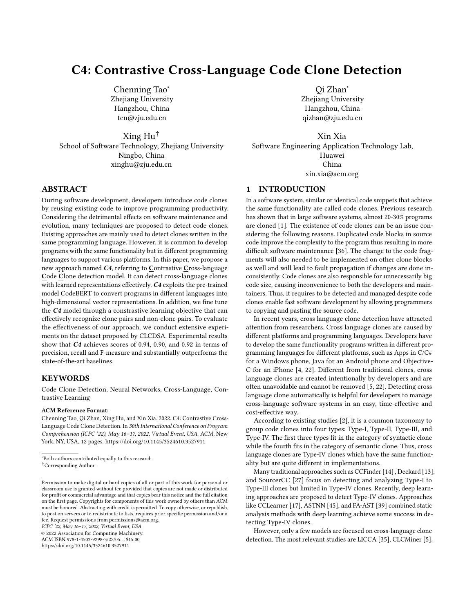ICPC '22, May 16–17, 2022, Virtual Event, USA Tao et al.

#### 2.3 Contrastive Learning

Contrastive learning is first introduced by Hadsell et al. [\[12\]](#page-10-26) for classification. Unlike loss functions that sum over samples, its loss function runs over pairs of examples. The original contrastive learning is defined as follows. Assume  $X_1, X_2$  is a pair of input vectors. Let *Y* be the label assigned to this pair.  $Y = 1$  means  $X_1$  and  $X_2$ are similar,  $Y = 0$  means they are different. The distance between two vector is defined by  $D_w 1 X_1, X_2$ <sup>o</sup>. Then the loss function can be written as  $L^1W$ ,  ${}^1Y$ ,  $X_1$ ,  $X_2{}^{oio} = {}^{1}1 \ Y^o L_S {}^{1}D_W^i{}^o$ ,  $Y L_D {}^{1}D_W^i{}^o$ .  $L_S$  is the partial loss function for a pair of similar pairs,  $L_D$  is the partial loss function for a pair of different pairs.

Loss function is one of the most important part in contrastive learning. Since Hadsell et al. [\[12\]](#page-10-26), a variety of loss functions have been proposed for different situations such as Triplet Loss [\[28\]](#page-10-27) and N-pair Loss [\[29\]](#page-10-28). They improve the loss function so that it can process multiple negative examples at the same time.

The overall framework of contrastive learning can be described as follows:

> An encoder  $f^{\dagger}$ <sup>o</sup> that can convert a given sample into vector representation.

> A batch of examples  $f_{x_1},...,x_n$ g where *n* represents the batch size.

> A similarity function  $\sin^{-1}x$ , y° which can represent the similarity of two vector, for example, many works [\[5,](#page-10-4) [22\]](#page-10-3) use cosine as the similarity function.

To train a model with contrastive loss objective, for each example  $x_i$  in the batch, we need to use the encoder to get the vector representation of the example  $v_i = f^{\dagger} x_i^{\circ}$ . Next, for each  $v_i$ , we have to construct the positive examples and negative examples for this particular sample. After the selection, we will use the similarity function sim<sup>1</sup>x, y<sup>o</sup> to get the distances between positive/negative examples and put it into the loss function.

Many approaches achieve the state-of-the-art results in their fields using contrastive learning, such as text generation [\[44\]](#page-11-6), sentence embedding [\[42\]](#page-11-7), and pre-trained Language Models [\[23\]](#page-10-29).

### <span id="page-3-0"></span>3 PROPOSED APPROACH

In this section, we present the overall design and implementation details of our proposed model.

#### 3.1 Overall Framework

The overall framework of C4 is illustrated in Figure [2.](#page-4-1) We process all programs into batches where each batch consists of code snippets that belong to the same task but used different programming languages. For each code snippet, we exploit the CodeBERT to get its representation. Then, we use contrastive learning for every code snippet in the batch. It can make clone pairs much closer and non-clone pairs further in the high-dimensional vector space. Our approach mainly consists of three parts, including a) Data Process; b) Get Code Representation; c) Contrastive Learning. We will introduce these three parts in the following subsections.

#### 3.2 Data Process

Data Processing is the first step to build our approach. We need to construct clone pairs and non-clone pairs. The details can be found in Section [4.2.](#page-5-1)

### 3.3 Code Representation

We use the CodeBERT as our pre-trained model to get code representations. In other words, we exploit the CodeBERT to encode

programs into vector representations, i.e.,  $c \int_a^f v$  where  $f$  means CodeBERT,  $c$  means the source code, and  $v$  means the vector embedding for the corresponding source code.

We fine tune the CodeBERT model to get a better vector embedding for the code clone downstream task [\[8\]](#page-10-17). The code snippets is first split into a list of words, then it is put in the CodeBERT's tokenizer. The output of the tokenizer is then concatenated with CLS token in the front and SEP token in the back. The format of this output is  $\Sigma$ CLS<sup> $\mathcal{U}_{1}, \omega_{2}, \ldots, \omega_{n}$ ,  $\Sigma$ SEP $\mathcal{U}_{1}$ . Then, we use the tokenizer's</sup> function to convert them into ids before put it into the model. Note that we limit each code snippet length to be less than 512 since CodeBERT cannot process input longer than that. During the fine tuning, the output of CodeBERT includes the contextual vector representation of each token and the representation of » $CLS\%$  (sentence representation). The parameters of CodeBERT are learned to minimize the contrastive loss.

#### 3.4 Contrastive Learning

The loss function we used is shown in Equation [1.](#page-3-1) Different from existing works, we use a combination of N-pair loss and Soft-Nearest Neighbor loss [\[10\]](#page-10-30).

<span id="page-3-1"></span>
$$
L_N = \log \frac{\exp \, \sin^1 x, x^{\circ} \cdot \tau}{\exp \, \tan^1 x, x^{\circ} \cdot \tau^{\circ}} \prod_{j=1}^{\exp \, \sin^1 x, x^{\circ} \cdot \tau} \quad (1)
$$

x is the anchor sample,  $x \cdot$  is the positive sample (i.e., x and  $x \cdot$ is a clone pair), and  $x$  is the negative sample (i.e.,  $x$  and  $x$  is a non-clone pair).  $\tau$  is a hyperparameter that we tune to scale the penalties on negative samples.

As shown in Figure [2,](#page-4-1) C4 exploits the contrastive learning to learn effective representation by pulling clones together and pushing apart non-clones. Assume we have a similarity function sim $v_i$ ,  $v_j^{\circ}$ and its codomain is »0, 1¼. The details of pulling and pushing are shown as follows:

Pull Pulling pairs together means getting the result of similarity function closer to 1.

Push Pushing pairs apart means getting the result of similarity function closer to 0.

For the similarity evaluation we use

$$
\operatorname{sim}^{1} \mathbf{u}, \mathbf{v}^{0} = \frac{\mathbf{u} \cdot \mathbf{v}}{k \mathbf{u} k k \mathbf{v} k}
$$
 (2)

where  $\sin^{-1}u_{\mathbf{r}}v^{\circ}$  2 » 1, 1¼.

For term  $\int_{j=1}^{N} \exp \; \sin^n x, x_j \circ \tau$  , if  $\sin^n x, x \circ \lt 0$ , the  $\tau$  will decrease the sensitivity of loss function. Therefore, we transform the codomain of sim<sup>1</sup>u, v<sup>o</sup> from » 1, 1<sup> $\#$ </sup> to »0, 1 $\#$  using a linear transformation.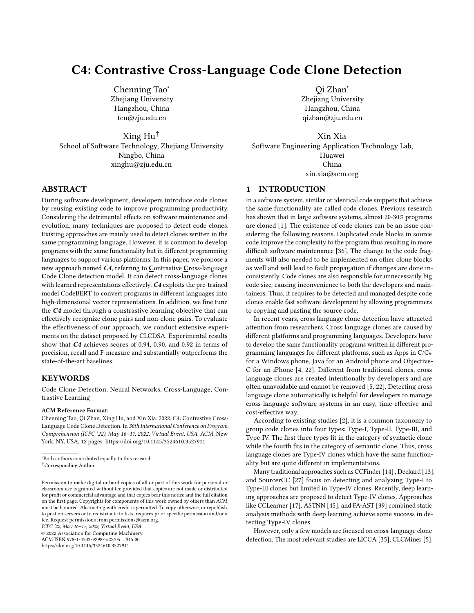<span id="page-4-1"></span>



A detailed description of how to construct negative samples and compute contrastive loss is illustrated in Algorithm [1.](#page-4-2)

Algorithm 1: Contrastive loss computation **Input:** A batch of clone pairs,  $B$ ;

<span id="page-4-2"></span>**Output:** Contrastive loss,  $L_N$ ;

```
1 foreach pair P_i in B do
 2 \mid x, x^* \rangleP_i, code:
  \mathbf{s} S_{pos} \sin^{-1} \mathbf{x}, \mathbf{x}^{0};
 4 foreach pair P_i^{\dagger} i < j^{\circ} in B do
  \mathbf{5} if P_i task \leq P_j task then
  6 \vert x \vertj_1, x_{j_2}P_j.code;
  7 \mid \cdot \cdot \cdot \cdot S_{nag_{j_1}}\sin^1 x, x_{j_1}^{\circ};
  8 \mid \cdot \cdot \cdot \cdot S_{nag_{j_2}}\sin<sup>1</sup>x, \frac{1}{2}<sup>o</sup>;
  9 end
10 end
11 L_{N_i} == \log^1 \frac{S_f}{S_{poss}}S_{45}Í
                                            S_{naq}º;
12 end
13 L_N\prod_{i=1}len<sup>1</sup>B<sup>o</sup>
```
For each batch we process, assume the batch size is  $B$ . It means that we have  $B$  clone pairs in this batch. We will then loop over the batch. For each pair, we take the first one as an anchor example  $(x)$ , the second one as a positive example  $(x)$ . Ideally, the rest clone pairs will all be negative examples  $(x)$ . Thus, the number of negative examples will be  $2^1B - 1^0$ , i.e., all programs (2B) excluding the corresponding clone pair. However, the rest of programs may come from the same problem. In other words, these programs are clones of the anchor example. Therefore, we should filter out those code snippets. After constructing positive example and negative examples, we compute their cosine similarity with anchor example. Then, C4 exploits the derived loss function (i.e., Equation [1\)](#page-3-1) to get the loss and train the model.

In the fine tuning phase, we applied the same hyperparameter used in the CodeBERT paper. Then, we fine tune  $C4$  optimized by our proposed contrastive loss.

### <span id="page-4-0"></span>4 EXPERIMENTAL SETUP

We evaluate the effectiveness of our approach following three research questions:

RQ1: How effective is our approach at detecting cross-language code clones compared to the state-of-the-art baselines? RQ2: How effective is our approach when detecting specific language pairs?

RQ3: How effective is each component in our approach?

We address RQ1 by comparing our approach with CLCMiner [\[5\]](#page-10-4) and CLCDSA [\[22\]](#page-10-3). CLCMiner is a traditional text-based tool for detecting code clones while CLCDSA is neural networks based approach. We then address RQ2 by analyzing our results for different programming language pairs. Finally, we address RQ3 by comparing results with or without fine-tuning and with or without contrastive learning.

# 4.1 Baselines

To evaluate the effectiveness of our approach, we compare our model with the following baselines:

4.1.1 CLCMiner [\[6\]](#page-10-31). CLCMiner is a state-of-art text-based code clone detection tool. It uses bag-of-tokens and revision histories to detect clones. As CLCMiner does not require training, we use it to detect clones in the test set.

4.1.2 CLCDSA [\[22\]](#page-10-3). CLCDSA is a cross-language detection tool that uses syntactical features and API documentation. It uses a deep neural network based feature vector learning model to learn the features and detect cross-language clones.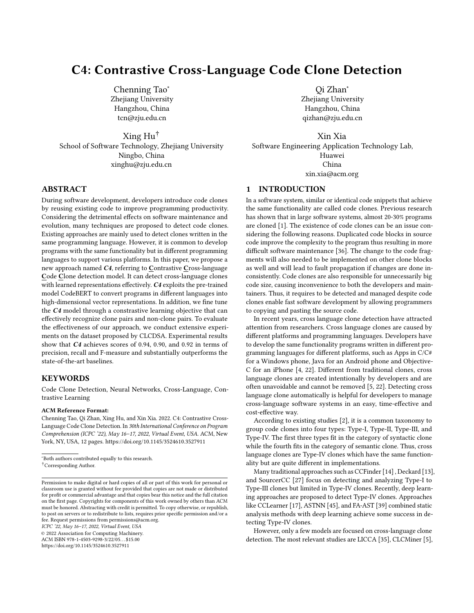<span id="page-5-4"></span>Table 1: Statistics for specific language code blocks

| Language |     | Average Lines Number of Blocks | Tokens |
|----------|-----|--------------------------------|--------|
| $C++$    | 66  | 32,281                         | 616    |
| C#       | 111 | 16.359                         | 939    |
| Java     | 106 | 18,836                         | 734    |
| Python   | 26  | 18,331                         | 212    |

### <span id="page-5-1"></span>4.2 Datasets

CLCDSA [\[22\]](#page-10-3) provides three dataset for cross-language clone detec-tion, including Google CodeJam<sup>[1](#page-5-2)</sup> data, AtCoder<sup>[2](#page-5-3)</sup> data, and Coder-Byte data. As CoderByte data collected by CLCDSA is not available, we conduct experiments on the other two datasets, i.e., Google CodeJam and AtCoder.

CodeJam is a Google's programming competition and AtCoder is a programming competition website in Japan. There are different programming language solutions for one problem so that we can take them as cross-language clone pairs. There are 86,807 code blocks and 1,380 problems in our dataset. For one problem, there are about 63 solutions on average. We split these problems 8:1:1 for train, valid, test sets.

For C4 with contrastive learning, we do not need the non-clone pairs in the training set since it can search different problems' code fragments in a batch as negative samples. We construct a clone pair by randomly selecting one program and the other one program in the same problem. In total, we get 86,695 cross-language clone pairs, in which 69,278 pairs in the training set, 8,742 pairs in the validation set, and 8,675 pairs in the test set.

For CLCDSA and CLCMiner, we follow the experiments setup of CLCDSA [\[22\]](#page-10-3), randomly select from different problems to create non-clone pairs for one clone pair. As a result, we have 138,804 pairs in the training set, 17,332 pairs in the validation set, and 17,349 pairs in the test set where true clone pairs count for 50%.

The statistics of different language code blocks is given in Table [1.](#page-5-4) The number of lines and tokens in C# is the highest while the number in Python is the lowest since the amount of code in Python is usually smaller to achieve the same functionality than other programming languages in the dataset. The number of code blocks in C++ is the highest, nearly as twice as the number of other language blocks.

#### 4.3 Metrics

In clone detection, we usually use Precision (P), Recall (R), and F1-Score (F1) to measure the effectiveness of different approaches.

Precision stands for the accuracy of detection, is the ratio of the number of true code clones detected to the number of all retrieved code pairs. We define  $R_R$  as the number of true code clones retrieved,  $I_R$  as the number of false code clones retrieved, then Precision is:

$$
P = \frac{R_R}{R_R \cdot I_R} \tag{3}
$$

Recall is the ratio of the number of actual code clones detected to the number of actual code clones. We define  $R_R$  as the number

<span id="page-5-6"></span>Table 2: Effectiveness of our approach vs. baselines

| Approach        | Precision Recall |      | F1   |
|-----------------|------------------|------|------|
| <b>CLCMiner</b> | 0.36             | 0.57 | 0.44 |
| <b>CLCDSA</b>   | 0.50             | 0.92 | 0.65 |
| C4              | 0.94             | 0.90 | 0.92 |

of true code clones retrieved,  $R_N$  as the number of all true code clones in dataset, then Recall is:

$$
R = \frac{R_R}{R_R \cdot R_N} \tag{4}
$$

F1-Score stands for the overall performance of detection, is the harmonic mean of precision and recall. If  $P$  is the precision and  $R$ is the recall, then F1 is:

$$
F1 = \frac{2PR}{P_{\circ} R} \tag{5}
$$

### 4.4 Experimental Setting

We choose the hyperparameters for our approach as follows: we train the model for five epochs and use the Adam optimizer with batch size of 36. The threshold for predicting the test set is the same as the best threshold of the validation set for all RQs while the threshold for CLCMiner is 0.5.  $\tau$  for contrastive learning is set to 12. Lastly, we use PyTorch to implement our models. For the training of this model, we use three RTX3090. For each epoch, it requires about one hour.

#### 4.5 Replication Package

Our code and dataset we used is publicly available<sup>[3](#page-5-5)</sup>.

#### <span id="page-5-0"></span>5 EXPERIMENTAL RESULTS

#### 5.1 RQ1: C4 vs. Baselines

We compare our approach with two state-of-the-art approaches, including CLCMiner [\[5\]](#page-10-4) and CLCDSA [\[22\]](#page-10-3). We use the same experimental settings to evaluate our approach against the other approaches in terms of precision, recall, and F1-score.

As shown in Table [2,](#page-5-6) our approach outperforms all state-of-theart baselines in terms of precision and F1-score. CLCDSA performs best considering the recall. We find that CLCDSA prefers to predict programs as clone pairs.

CLCMiner only considers a bag of tokens and neglects all other information when detects code clones. However, cross-language code clones are different lexically and syntactically. CLCMiner fails to detect them through similar tokens. In addition, different reserved tokens in different languages also increase the difficulty for CLCMiner to detect cross-language clones.

Considering CLCDSA that is designed for cross-language detection, it performs better than CLCMiner. It analyzes the similarity of nine syntactic source code features that have almost similar values if two source code fragments from two different programming languages have similar functionality.

<span id="page-5-2"></span><sup>1</sup>http://code.google.com/codejam

<span id="page-5-3"></span><sup>2</sup>https://atcoder.jp/

<span id="page-5-5"></span><sup>3</sup>https://github.com/Chenning-Tao/C4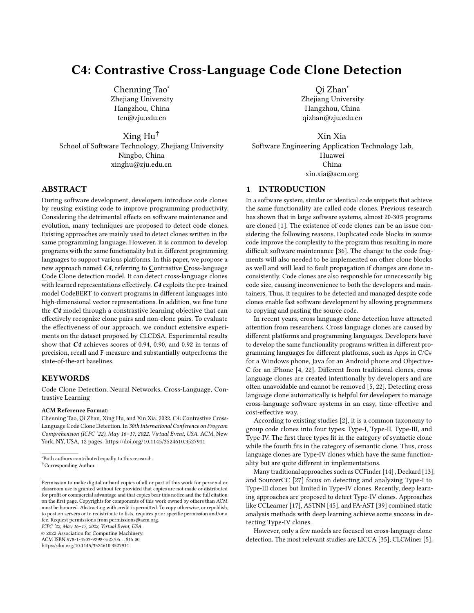Our approach outperforms both CLCMiner and CLCDSA in terms of precision, recall, and F1-Score, which achieve 0.94, 0.90, and 0.92 respectively.

#### 5.2 RQ2: Specific language pairs

Table [3](#page-7-0) shows results of approaches on different language combination. Comparing results of different programming language pairs with CLCMiner and CLCDSA, we have the following findings:

Finding 1. All evaluation metrics (Precision, Recall, F1- Score) in our approach is greatly higher than measures with CLCMiner, which achieve an increase of 0.35 in Precision, 0.56 in Recall, and 0.48 in F1-Score on average.

Finding 2. Compared with CLCDSA, the only metric our approach worse than CLCDSA is Recall for C# & Java pair. The Recall scores of our approach and CLCDSA are similar, but F1-Score of our approach is much higher than CLCDSA since Precision of our approach is higher significantly.

Finding 3. Variances of Precision, Recall, and F1-Score is 0.03304, 0.0367, and 0.03236 respectively for different language combinations results in our approach, which indicate that the deviation of results in our approach is small.

### 5.3 RQ3: Ablation Study

In this paper, we exploit the CodeBERT to lean the representations of source code. Then, we use the contrastive learning technique to fine tune the model. We want to investigate the impacts of these variants on the performance of our approach. To illustrate the importance of each component, we compare our approach with two of its incomplete variants:

CodeBERT without fine-tuning. We directly use the pretrained CodeBERT to detect cross-language clone pairs without fine-tuning and contrastive learning.

CodeBERT with fine-tuning. We fine tune the CodeBERT without contrastive learning. During the fine-tuning process, we use Mean Square Error (MSE) as the loss function that is used in the original CodeBERT.

Table [4](#page-7-1) shows the results of these two variants and C4. Comparing results of CodeBERT with and without fine-tuning, we find that our approach benefits from fine-tuning. F1-Score is only 0.67 if we directly use the representations in CodeBERT to detect clone pairs. We can find that it regards all pairs as clone pairs. We achieve an increase of 0.22 in F1-Score when we fine-tune with the train set. Similarly, we also achieve an increase in F1-Score when we fine-tune with contrastive learning. Compared to fine-tuning Code-BERT, contrastive learning has great advantage in improving the Precision.

To evaluate the effectiveness of the contrastive learning, we also give the detailed results (shown in Table [5\)](#page-7-2) of CodeBERT with MSE loss fine-tuning. Compared to results of C4 shown in Table [3,](#page-7-0) Precision and F1-Score with contrastive learning is higher than models without contrastive learning. Our approaches achieve an average increase of 0.10 in precision and 0.03 in F1-Score, which indicates that our approach is effective for all different language combinations.

In addition, we also visualize the code vectors to help understand and explain why the vectors produced by C4 are better than the vectors produced by others. We randomly select four problems and get embedding of code snippets that belongs to these problems, then we use t-SNE [\[33\]](#page-10-32) to reduce dimensionality from 768 to 2 for visualization. As shown in Figure [3,](#page-7-3) points in the same color represent programs from the same problems. Points with the same color in Figure [3\(a\)](#page-7-4) are scattered across the graph, which means the embedding of code is irregular without fine-tuning. Most points with the same color in Figure [3\(b\)](#page-7-5) converge together but their boundary is not very clear and some of them tangled together, which means it can detect clone pairs but hard to distinguish several non-clone pairs. It explains the relatively high recall (0.95) and low precision (0.83) in RQ3. Points with same color in Figure [3\(c\)](#page-7-6) stay closer than Figure [3\(b\)](#page-7-5) while different color points stay far apart. Our results show that contrastive learning can keep dissimilar pairs away while pulling similar pairs together, which increases Precision and F1-Score greatly in detecting semantic code clones.

### <span id="page-6-0"></span>6 DISCUSSION

# 6.1 Can C4 achieve good performance on a small dataset?

Considering the long training time for C4 and CodeBERT, we further conduct an experiment on a smaller dataset that is more energy efficient. We randomly select 30% pairs from the dataset and compare C4 with CodeBERT. The smaller dataset includes 20,773 in the training set, 2,619 in the validation set, and 2,572 in the test set. For fine-tuned CodeBERT, we need to construct negative samples in its dataset. Therefore, the fine-tuned CodeBERT has twice the amount of data includes 41,646 in the training set, 5,200 in the validation set, and 5,105 in the test set. Table [6](#page-7-7) describe the results on the small dataset setting. Compared to Table [4,](#page-7-1) we find that  $C4_{SMALL}$ has the same performance as C4. However, the performance of the fine-tuned CodeBERT has an obvious decline. The small data setting further demonstrates the effectiveness of our approach C4.

#### 6.2 Proportion of Clone Pairs in the Test Set

Since the CLCDSA dataset only consists of clone pairs, we need to construct negative samples by selecting samples from different tasks.

Therefore, the amount of non-clone pairs may effect the performance of different approaches. In the experimental setting, we follow the CLCDSA and construct same number of non-clone pairs as the positive pairs.

But in BigCloneBench [\[30\]](#page-10-33), one of the most famous benchmarks for code clone, we find that though in the train dataset, the number of clone pairs is almost identical to the non-clone pairs, in the valid and test dataset, the number of non-clone pairs versus clone pairs is almost 1 : 6. So we want to see how well our model is when the data distribution is different. As we need to construct much more non-clone pairs in this discussion, we follow the small data setting above to save training time.

We retrain the model using the same amounts of clone pairs but different amounts of non-clone pairs. Besides the 1 : 1 (clone pair : non-clone pair) ratio we use in Section 4.1, we use 1 : 2, 1 : 3 and 1 : 6 for training. And for each model we trained, we test them on test dataset with  $1:1, 1:2, 1:3, 1:6$  ratio. The detailed F1 results are shown in Table [7.](#page-8-1)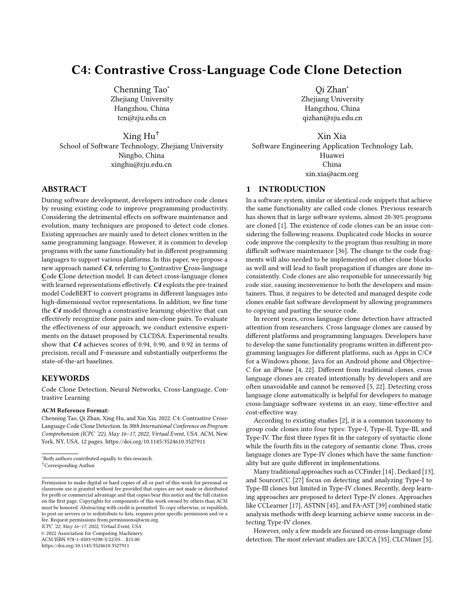<span id="page-7-0"></span>

| <b>Language Combination</b> |           | <b>CLCMiner</b> |                |                          | <b>CLCDSA</b> |                |           | C4     |                |
|-----------------------------|-----------|-----------------|----------------|--------------------------|---------------|----------------|-----------|--------|----------------|
|                             | Precision | Recall          | F <sub>1</sub> | Precision                | Recall        | F <sub>1</sub> | Precision | Recall | F <sub>1</sub> |
| $C_{++}$ & $C_{+}$          | 0.57      | 0.36            | 0.44           | -                        | -             | -              | 0.91      | 0.88   | 0.89           |
| $C++&$ Java                 | 0.58      | 0.37            | 0.45           | $\overline{\phantom{0}}$ | -             |                | 0.93      | 0.90   | 0.91           |
| $C++&$ Python               | 0.59      | 0.36            | 0.45           | $\overline{\phantom{a}}$ | -             |                | 0.94      | 0.92   | 0.93           |
| $C \# \& Java$              | 0.59      | 0.34            | 0.43           | 0.67(0.47)               | 0.96(0.91)    | 0.79(0.62)     | 0.95      | 0.93   | 0.94           |
| $C# \& Python$              | 0.56      | 0.36            | 0.44           | 0.63(0.54)               | 0.89(0.95)    | 0.73(0.69)     | 0.92      | 0.95   | 0.94           |
| Java & Python               | 0.59      | 0.36            | 0.45           | 0.58(0.46)               | 0.90(0.85)    | 0.705(0.60)    | 0.95      | 0.93   | 0.94           |

Table 3: Results on different language combinations

We replicated the CLCDSA according to the replication package they provided in the GitHub. We re-train their models and show the results from our training (in the brackets). Results outside the brackets are taken from CLCDSA paper.

<span id="page-7-4"></span><span id="page-7-3"></span>

<span id="page-7-5"></span>Figure 3: Visualization of the vector representations of the code snippets

<span id="page-7-1"></span>Table 4: Effectiveness of each incomplete variant of our approach

| Approach            | Precision | Recall | F1.  |
|---------------------|-----------|--------|------|
| without fine-tuning | 0.50      | 1.00   | 0.67 |
| with fine-tuning    | 0.83      | 0.95   | 0.89 |
| C <sub>4</sub>      | 0.94      | 0.90   | 0.92 |

<span id="page-7-2"></span>Table 5: Results on different language combinations of C4 without contrastive learning

| Language Combination Precision |      | Recall | F1   |
|--------------------------------|------|--------|------|
| $C_{++}$ & $C_{+}$             | 0.83 | 0.95   | 0.89 |
| $C++&$ Java                    | 0.84 | 0.94   | 0.88 |
| $C++& Python$                  | 0.82 | 0.96   | 0.88 |
| $C# &$ Java                    | 0.83 | 0.97   | 0.90 |
| C# & Python                    | 0.84 | 0.98   | 0.90 |
| Java & Python                  | 0.84 | 0.98   | 0.90 |

<span id="page-7-7"></span>Table 6: Effectiveness of C4 and fine-tuned CodeBERT on a small dataset setting

| Approach            | Precision Recall |      | F1   |
|---------------------|------------------|------|------|
| fine-tuned CodeBERT | 0.82             | 0.92 | 0.87 |
| $C4_{SMAIL}$        | 0.94             | 0.90 | 0.92 |

<span id="page-7-8"></span><span id="page-7-6"></span>

Figure 4: F1 results when using different proportions of clone pairs to train and test.

From Table [7](#page-8-1) we can see, when only using CodeBERT with finetuning, simply adding more non-clone pairs will not help the model to perform better. The F1 result when using 1 : 2, 1 : 3, 1 : 6 for training is almost the same while the number of negative samples almost tripled. This indicates the traditional method cannot make full use of a large number of non-clone pairs while the methods with contrastive learning can benefit a lot from a large number of non-clone pairs.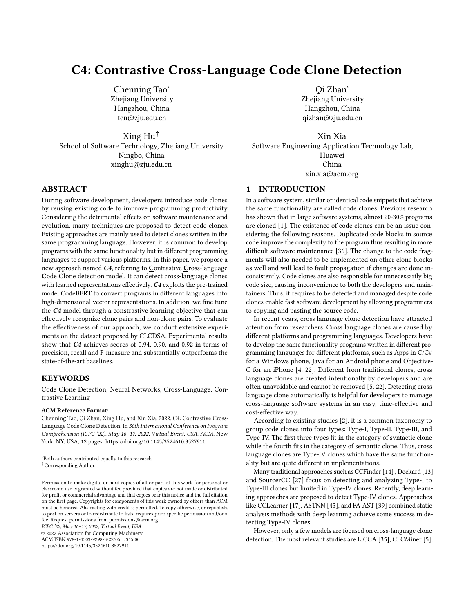<span id="page-8-1"></span>Table 7: F1 results of different train and test dataset

| Test<br>Train | 1:1  | 1:2  | 1:3  | 1:6  |
|---------------|------|------|------|------|
| 1:1           | 0.87 | 0.78 | 0.74 | 0.61 |
| 1:2           | 0.87 | 0.80 | 0.78 | 0.69 |
| 1:3           | 0.87 | 0.83 | 0.78 | 0.71 |
| 1:6           | 0.87 | 0.82 | 0.79 | 0.67 |
| CL.           | 0.92 | 0.90 | 0.89 | 0.86 |

<span id="page-8-2"></span>Table 8: CodeBERT baseline when training with same number of clone pairs and non-clone pairs

| Test | Precision | Recall |
|------|-----------|--------|
| 1:1  | 0.82      | 0.92   |
| 1:2  | 0.70      | 0.91   |
| 1:3  | 0.64      | 0.91   |
| 1:6  | 0.45      | 0.92   |

Figure [4](#page-7-8) depicted the result in the diagram. X-axis represents the test dataset ratio, each line represent different training method. We can see when using CodeBERT with fine tuning, when the ratio changed from 1 : 1 to 1 : 2, the F1 score dropped significantly from 0.04 up to 0.09. And when the ratio changed to 1 : 6, the result for our baseline method dropped up to 0.26 compared to 1 : 1 while CodeBERT fine tuning with contrastive learning only dropped 0.06.

From Table [8](#page-8-2) we can see as the number of non-clone pairs in the dataset increases, recall barely changes while precision deteriorates rapidly. It seems to be the result of the model's tendency to deem non-clone pairs as clone pairs. When the ratio is 1 : 6, the precision drops to 0.45, which is almost like the model is just guessing. We can safely assume that the method with contrastive learning has learnt a better code representation thus can handle different data distribution better.

#### 6.3 Investigating why C4 fail

We are also curious about why our approach fail to detect clones. We find that  $C4$  may mistake non-clone pairs as clones. Figure [5](#page-9-1) shows an example of a non-clone pair that is mistaken as a clone pair. We can find that the two code fragments have same variable name time and similar variable name time to goal, bestTime. C4 is confused when most variable names are similar. In addition, we can observe that their interprocedural control flow is similar. In the main function, they both call another method in a loop and print the answer. In the function they call, there are the same while loop and some assignment statements in them. However, statements in the basic block are totally different and two code fragments achieve different functionality. Our approach fails to predict them as a nonclone pairs. In the future, we plan to combine the control flow and data flow to achieve more precise detection.

### 6.4 Threats to Validity

We have identified the following threats to validity among our study:

6.4.1 Internal Validity. In this paper, we exploit the pre-trained model CodeBERT to convert programs written in different languages into the high-dimensional code vector space and fine-tune the model. Pre-trained knowledge from CodeBERT may introduce bias of the effectiveness of our approach. First, CodeBERT is pretrained on Go, Python, Java, JavaScript, Php, and Ruby. In this paper, we detect clones in Java, Python, C++, and C# in which C++ and C# programs are not learned by the CodeBERT. The representations for these programs may not effective. Second, CodeBERT can only handle 512 tokens while the lengths of most code fragments are over 512 tokens, which influence C4's effectiveness.

6.4.2 Dataset Validity. The dataset used in our experiments takes solutions written in different programming languages for the same task as clone pairs. CoderByte dataset collected by CLCDSA is not available so that we use other two datasets (i.e. AtCoder dataset, Google CodeJam dataset) to train and test, which lead to the different results between paper and our experiments for CLCDSA.

#### <span id="page-8-0"></span>7 RELATED WORK

#### 7.1 Traditional Approaches

7.1.1 Single language. Most of the clone detection approaches using traditional methods are targeted at Type-I, Type-II, and weak Type-III clones detection. Existing studies mainly include tokenbased techniques and syntactic-based techniques.

CCFinder [\[14\]](#page-10-6) is a tool that transforms the input source text into a regular form and uses a token-by-token matching algorithm to compute clone metrics. But it requires a language-dependent lexical analyzer and transformation rules. Therefore, it only supports a limited amount of programming languages.

SourcerCC [\[27\]](#page-10-8) is a token-based clone detector that tokenizes the code blocks and creates a partial inverted index for detecting clone pairs. Its ability is limited as it can only capture lexical level information.

Deckard [\[13\]](#page-10-7) is an AST-based tool that characterizes subtrees with numerical vectors in the Euclidean space and clusters these vectors using the Euclidean distance metric. Subtrees with vectors in one cluster are considered similar. Similar to CCFinder, it requires pre-defined rules for each language.

In addition, a large amount of works also focus on clone detection. They can be divided into five categories [\[37\]](#page-10-34): textual, token, syntactic, semantic, and learning. Textual based approaches compare code in the form of text and are only found to be cloned if the two code fragments are literally identical in terms of textual content. Token based apporaches like CCFinder and SourcerCC split code into tokens and matched them. Syntactic approaches use tree-based techniques (i.e. AST) or metric-based techniques to compare code similarity. Semantic approaches detect code fragments that have different structure but perform same function. This can be done using static analysis such as PDG [\[16\]](#page-10-35). But they are often faced by the problem of being very difficult to scale. We find that most traditional tools that detect clone pairs such as CCFinder [\[14\]](#page-10-6) and SourcererCC [\[27\]](#page-10-8) can be applied to different languages but each pair must be the same programming language.

7.1.2 Cross Language. A very few models can be applied to crosslanguage clone detection. The most representative ones are LICCA [\[35\]](#page-10-10)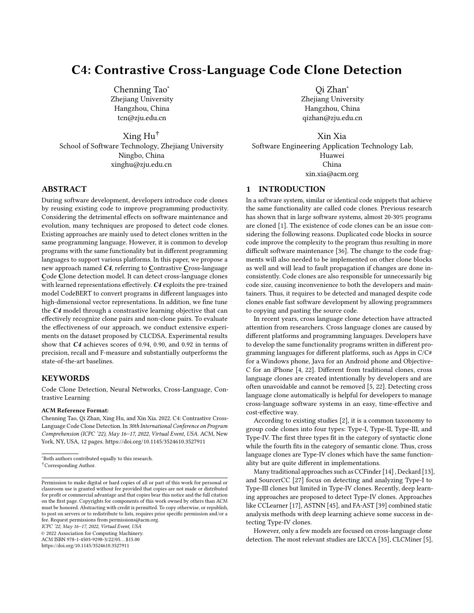ICPC '22, May 16–17, 2022, Virtual Event, USA Tao et al. and the state of al. and the state of the state of the state of the state of the state of the state of the state of the state of the state of the state of the state

```
memo = dict()def canBuy(C,F,n):
                                                                        if (C,F,n) in memo:
                                                                            return memo[(C,F,n)]
                                                                        if n==1:
                                                                             return C / 2.0
                                                                        memo[(C, F, n)] = \text{canBuy}(C, F, n-1) + C/(2.0 + F* (n-1))return canBuy(C,F,n)
                                                                    def best(C,F,X):
                                                                         factories =0
                                                                        bestTime = X/2.0while True:
                                                                             factories+=1
                                                                             time = canBuy(C,F,factories)
                                                                             time += X / (factors * F + 2.)if time < bestTime:
                                                                                 bestTime = timeelse:
                                                                                 return bestTime
                                                                     f = open('input.in', 'r')data = f.read().split()instances = int(data[0])for x in xrange(instances):
                                                                        line = map(float, data[x+1].split(" "))
                                                                         C, F, X = line[0], line[1], line[2]
print "Case #%d: %.7f" % (x+1, best(C,F,X))
double cookies(void) {
   double cost, f, goal;
    double time = 0:
    scanf("%lf%lf%lf", &cost, &f, &goal);
    double cookie_rate = 2.0;
   double time_to_farm, time_to_goal, time_after_farm;
    while(true) {
       time_to_goal = goal/cookie_rate;
        time_to_farm = cost/cookie_rate;
        if(time_to_goal < time_to_farm) {
            time += time_to_goal;
            break;
        }
        time_after_farm = goal/(cookie_rate+f);
        if(time_after_farm + time_to_farm < time_to_goal) {
            cookie_rate += f;
            time += time_to_farm;
        } else {
            time += time_to_goal;
            break;
        }
   }
    return time;
}
int main(void) {
    int cases;
scanf("%d", &cases);
    for (int i = 1; i <= cases; i++) {
        double answer = \text{cookies}();
        printf("Case #%d: ", i);
        printf("%lf\n", answer);
   }
C++: Python:
```
## Figure 5: An example of a non-clone pair that is mistaken as a clone pair by C4

and CLCMiner [\[5\]](#page-10-4). LICCA relies on SSQSA's high-level representation of code but is only able to be applied to 5 languages. Also, it requires the same source code length and code steps and flow of functionality of two code blocks. CLCMiner mines clones from revision histories thus limiting its application. Those approaches have many limitations thus are unsuitable in real world scenarios.

# 7.2 Deep learning Approaches

}

With the emergence of difficult datasets such as BigCloneBench [\[31\]](#page-10-36) which contains Type-IV clone pairs and the advances of deep learning, the number of approaches using deep learning to detect code clone pairs has increased a lot.

7.2.1 Single language. Most approaches use static analysis methods and can be categorized into token-based, syntax-based, and semantic-based.

The token-based methods like CCLearner [\[17\]](#page-10-9) use deep learning methods to acquire token-level information. CCLearner extracts tokens from known method-level code clones and non-clones to form a feature vector. They use this feature vector to train a classifier and then use the classifier to detect clones in a given codebase. They also extracted some syntax tree information and use them in training. But this method ignores the structure information of the program and is very sensitive to changes like code orders.

The syntax-based methods usually use AST to obtain information regarding its code structure and grammar. CDLH [\[41\]](#page-11-4) treats this problem as a supervised-learning problem of the source code's hash features. The CDLH approach uses certain encoding rules to encode the abstract syntax tree representation of the source code. Then it uses an LSTM network to combine these representations into a binary vector. But it only utilizes the structure information and ignores other information like the node type. ASTNN [\[45\]](#page-11-1) utilized node type in AST and split the entire AST into a sequence of small statement trees. Then use a statement encoder to capture the lexical and syntactical knowledge of the tree and turn it into a vector. A bidirectional RNN model is used to generate the vector representation of the code.

The semantic-based methods usually involve more complex static analyses such as CFG, DFG and PDG. But some analysis like PDG requires the code to be compatible and is unable to detect clones in incomplete code fragments. Wang et al. [\[39\]](#page-11-2) build a graph representation of programs called flow-augmented abstract syntax tree (FA-AST) by adding control and data flow edges. Mehrotra et al. [\[21\]](#page-10-37) utilize the program dependency graph to encode code fragment and use a graph-based Siamese network to detect clone pairs.

7.2.2 Cross language. Very few researchers have focused on crosslanguage clone detection due to its complexity and lack of crosslanguage clone detection datasets. The most famous work is CLCDSA [\[22\]](#page-10-3) which provides a dataset for cross-language clones and implemented a deepNN network that can detect cross-language clones.

# <span id="page-9-0"></span>8 CONCLUSION

There are numerous approaches to detect code clones in the same language, but few approaches are able to detect cross-languag code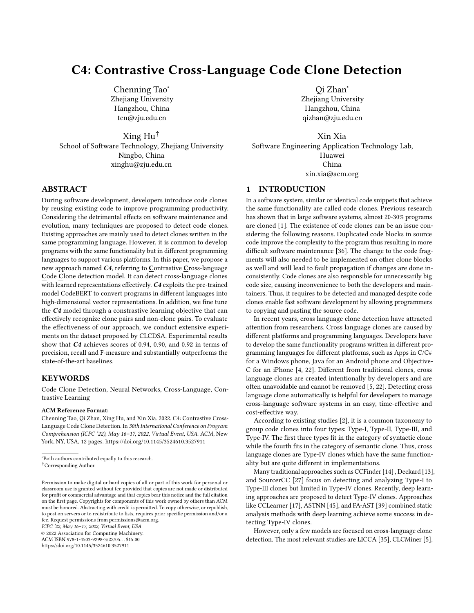clones effectively. In our paper, we propose a new approach, C4, to detect cross-language code clones. C4 takes the pre-trained model CodeBERT to convert programs in different languages into representations and finetune the model using contrasitive objective so that it can effectively recognize clone pairs and non-clone pairs. Experimental results show that our approach outperforms the stateof-the-art approaches significantly in terms of precision, recall, and F1-score. In addition, C4 also performs well in small dataset settings and outperforms other approaches.

### **ACKNOWLEDGMENTS**

This research was supported by the National Science Foundation of China (No. 62141222 and No. U20A20173)

#### REFERENCES

- <span id="page-10-0"></span>[1] B.S. Baker. 1995. On finding duplication and near-duplication in large software systems. In Proceedings of 2nd Working Conference on Reverse Engineering. 86–95. <https://doi.org/10.1109/WCRE.1995.514697>
- <span id="page-10-5"></span>[2] Stefan Bellon, Rainer Koschke, Giulio Antoniol, Jens Krinke, and Ettore Merlo. 2007. Comparison and evaluation of clone detection tools. IEEE Transactions on software engineering 33, 9 (2007), 577–591.
- <span id="page-10-13"></span>[3] Ting Chen, Simon Kornblith, Mohammad Norouzi, and Geoffrey Hinton, 2020. A Simple Framework for Contrastive Learning of Visual Representations. arXiv[:2002.05709](https://arxiv.org/abs/2002.05709) [cs.LG]
- <span id="page-10-2"></span>[4] Xiao Cheng, Zhiming Peng, Lingxiao Jiang, Hao Zhong, Haibo Yu, and Jianjun Zhao. 2016. Mining revision histories to detect cross-language clones without intermediates. In Proceedings of the 31st IEEE/ACM International Conference on Automated Software Engineering. 696–701.
- <span id="page-10-4"></span>[5] Xiao CHENG, Zhiming PENG, Lingxiao Jiang, Hao Zhong, Haibo Yu, and Jianjun Zhao. 2017. CLCMiner: Detecting Cross-Language Clones without Intermediates. IEICE Transactions on Information and Systems E100.D (02 2017), 273–284. [https:](https://doi.org/10.1587/transinf.2016EDP7334) [//doi.org/10.1587/transinf.2016EDP7334](https://doi.org/10.1587/transinf.2016EDP7334)
- <span id="page-10-31"></span>[6] Xiao Cheng, Zhiming Peng, Lingxiao Jiang, Hao Zhong, Haibo Yu, and Jianjun Zhao. 2017. CLCMiner: detecting cross-language clones without intermediates. IEICE TRANSACTIONS on Information and Systems 100, 2 (2017), 273–284.
- <span id="page-10-25"></span>[7] Kevin Clark, Minh-Thang Luong, Quoc V. Le, and Christopher D. Manning. 2020. ELECTRA: Pre-training Text Encoders as Discriminators Rather Than Generators. arXiv[:2003.10555](https://arxiv.org/abs/2003.10555) [cs.CL]
- <span id="page-10-17"></span>[8] Jacob Devlin, Ming-Wei Chang, Kenton Lee, and Kristina Toutanova. 2018. Bert: Pre-training of deep bidirectional transformers for language understanding.  $arXiv$  preprint  $arXiv: 1810.04805$  (2018). preprint arXiv:1810.04805 (2018). [9] Zhangyin Feng, Daya Guo, Duyu Tang, Nan Duan, Xiaocheng Feng, Ming
- <span id="page-10-12"></span>Gong, Linjun Shou, Bing Qin, Ting Liu, Daxin Jiang, and Ming Zhou. 2020. CodeBERT: A Pre-Trained Model for Programming and Natural Languages. arXiv[:2002.08155](https://arxiv.org/abs/2002.08155) [cs.CL]
- <span id="page-10-30"></span>[10] Nicholas Frosst, Nicolas Papernot, and Geoffrey Hinton. 2019. Analyzing and Improving Representations with the Soft Nearest Neighbor Loss. arXiv[:1902.01889](https://arxiv.org/abs/1902.01889) [stat.ML]
- <span id="page-10-22"></span>[11] Zhipeng Gao, Xin Xia, David Lo, John Grundy, and Thomas Zimmermann. 2021. Automating the removal of obsolete TODO comments. In Proceedings of the 29th ACM Joint Meeting on European Software Engineering Conference and Symposium on the Foundations of Software Engineering. 218–229.
- <span id="page-10-26"></span>[12] Raia Hadsell, Sumit Chopra, and Yann LeCun. 2006. Dimensionality reduction by learning an invariant mapping. In 2006 IEEE Computer Society Conference on Computer Vision and Pattern Recognition (CVPR'06), Vol. 2. IEEE, 1735–1742.
- <span id="page-10-7"></span>[13] Lingxiao Jiang, Ghassan Misherghi, Zhendong Su, and Stephane Glondu. 2007. DECKARD: Scalable and Accurate Tree-Based Detection of Code Clones. In 29th International Conference on Software Engineering (ICSE'07). 96–105. [https:](https://doi.org/10.1109/ICSE.2007.30) [//doi.org/10.1109/ICSE.2007.30](https://doi.org/10.1109/ICSE.2007.30)
- <span id="page-10-6"></span>[14] T. Kamiya, S. Kusumoto, and K. Inoue. 2002. CCFinder: a multilinguistic tokenbased code clone detection system for large scale source code. IEEE Transactions on Software Engineering 28, 7 (2002), 654–670. [https://doi.org/10.1109/TSE.2002.](https://doi.org/10.1109/TSE.2002.1019480) [1019480](https://doi.org/10.1109/TSE.2002.1019480)
- <span id="page-10-15"></span>[15] Prannay Khosla, Piotr Teterwak, Chen Wang, Aaron Sarna, Yonglong Tian, Phillip Isola, Aaron Maschinot, Ce Liu, and Dilip Krishnan. 2021. Supervised Contrastive Learning. arXiv[:2004.11362](https://arxiv.org/abs/2004.11362) [cs.LG]
- <span id="page-10-35"></span>[16] Raghavan Komondoor and Susan Horwitz. 2001. Using slicing to identify duplication in source code. In International static analysis symposium. Springer, 40–56.
- <span id="page-10-9"></span>[17] Liuqing Li, He Feng, Wenjie Zhuang, Na Meng, and Barbara G. Ryder. 2017. CCLearner: A Deep Learning-Based Clone Detection Approach. 2017 IEEE International Conference on Software Maintenance and Evolution (ICSME) (2017),

249–260.

- <span id="page-10-21"></span>[18] Fang Liu, Ge Li, Yunfei Zhao, and Zhi Jin. 2020. Multi-task learning based pretrained language model for code completion. In Proceedings of the 35th IEEE/ACM International Conference on Automated Software Engineering. 473–485.
- <span id="page-10-18"></span>[19] Yinhan Liu, Jiatao Gu, Naman Goyal, Xian Li, Sergey Edunov, Marjan Ghazvininejad, Mike Lewis, and Luke Zettlemoyer. 2020. Multilingual Denoising Pre-training for Neural Machine Translation. CoRR abs/2001.08210 (2020). arXiv[:2001.08210](https://arxiv.org/abs/2001.08210) <https://arxiv.org/abs/2001.08210>
- <span id="page-10-24"></span>[20] Yinhan Liu, Myle Ott, Naman Goyal, Jingfei Du, Mandar Joshi, Danqi Chen, Omer Levy, Mike Lewis, Luke Zettlemoyer, and Veselin Stoyanov. 2019. RoBERTa: A Robustly Optimized BERT Pretraining Approach. CoRR abs/1907.11692 (2019). arXiv[:1907.11692](https://arxiv.org/abs/1907.11692)<http://arxiv.org/abs/1907.11692>
- <span id="page-10-37"></span>[21] Nikita Mehrotra, Navdha Agarwal, Piyush Gupta, Saket Anand, David Lo, and Rahul Purandare. 2020. Modeling Functional Similarity in Source Code with Graph-Based Siamese Networks. arXiv[:2011.11228](https://arxiv.org/abs/2011.11228) [cs.SE]
- <span id="page-10-3"></span>[22] Kawser Wazed Nafi, Tonny Shekha Kar, Banani Roy, Chanchal K Roy, and Kevin A Schneider. 2019. Clcdsa: cross language code clone detection using syntactical features and api documentation. In 2019 34th IEEE/ACM International Conference on Automated Software Engineering (ASE). IEEE, 1026–1037.
- <span id="page-10-29"></span>[23] Yujia Qin, Yankai Lin, Ryuichi Takanobu, Zhiyuan Liu, Peng Li, Heng Ji, Minlie Huang, Maosong Sun, and Jie Zhou. 2020. ERICA: Improving Entity and Relation Understanding for Pre-trained Language Models via Contrastive Learning. CoRR abs/2012.15022 (2020). arXiv[:2012.15022 https://arxiv.org/abs/2012.15022](https://arxiv.org/abs/2012.15022)
- <span id="page-10-19"></span>[24] XiPeng Qiu, TianXiang Sun, YiGe Xu, YunFan Shao, Ning Dai, and XuanJing Huang. 2020. Pre-trained models for natural language processing: A survey. Science China Technological Sciences 63, 10 (Sep 2020), 1872–1897. [https://doi.](https://doi.org/10.1007/s11431-020-1647-3) [org/10.1007/s11431-020-1647-3](https://doi.org/10.1007/s11431-020-1647-3)
- <span id="page-10-11"></span>[25] Gordana Rakić. 2015. Extendable and adaptable framework for input language independent static analysis. Ph. D. Dissertation. University of Novi Sad (Serbia).
- <span id="page-10-16"></span>[26] Chanchal K Roy, Minhaz F Zibran, and Rainer Koschke. 2014. The vision of software clone management: Past, present, and future (keynote paper). In 2014 Software Evolution Week-IEEE Conference on Software Maintenance, Reengineering, and Reverse Engineering (CSMR-WCRE). IEEE, 18–33.
- <span id="page-10-8"></span>[27] Hitesh Sajnani, Vaibhav Saini, Jeffrey Svajlenko, Chanchal K. Roy, and Cristina V. Lopes. 2016. SourcererCC. Proceedings of the 38th International Conference on Software Engineering (May 2016).<https://doi.org/10.1145/2884781.2884877>
- <span id="page-10-27"></span>[28] Florian Schroff, Dmitry Kalenichenko, and James Philbin. 2015. FaceNet: A unified embedding for face recognition and clustering. 2015 IEEE Conference on Computer Vision and Pattern Recognition (CVPR) (Jun 2015). [https://doi.org/10.](https://doi.org/10.1109/cvpr.2015.7298682) [1109/cvpr.2015.7298682](https://doi.org/10.1109/cvpr.2015.7298682)
- <span id="page-10-28"></span>[29] Kihyuk Sohn. 2016. Improved Deep Metric Learning with Multi-class N-pair Loss Objective. In Advances in Neural Information Processing Systems, D. Lee, M. Sugiyama, U. Luxburg, I. Guyon, and R. Garnett (Eds.), Vol. 29. Curran Associates, Inc. [https://proceedings.neurips.cc/paper/2016/file/](https://proceedings.neurips.cc/paper/2016/file/6b180037abbebea991d8b1232f8a8ca9-Paper.pdf) [6b180037abbebea991d8b1232f8a8ca9-Paper.pdf](https://proceedings.neurips.cc/paper/2016/file/6b180037abbebea991d8b1232f8a8ca9-Paper.pdf)
- <span id="page-10-33"></span>[30] Jeffrey Svajlenko, Judith F Islam, Iman Keivanloo, Chanchal K Roy, and Mohammad Mamun Mia. 2014. Towards a big data curated benchmark of inter-project code clones. In 2014 IEEE International Conference on Software Maintenance and Evolution. IEEE, 476–480.
- <span id="page-10-36"></span>[31] Jeffrey Svajlenko and Chanchal K. Roy. 2015. Evaluating clone detection tools with BigCloneBench. In 2015 IEEE International Conference on Software Maintenance and Evolution (ICSME). 131–140.<https://doi.org/10.1109/ICSM.2015.7332459>
- <span id="page-10-14"></span>[32] Aaron van den Oord, Yazhe Li, and Oriol Vinyals. 2019. Representation Learning with Contrastive Predictive Coding. arXiv[:1807.03748](https://arxiv.org/abs/1807.03748) [cs.LG]
- <span id="page-10-32"></span>Laurens Van der Maaten and Geoffrey Hinton. 2008. Visualizing data using t-SNE. Journal of machine learning research 9, 11 (2008).
- <span id="page-10-23"></span>[34] Ashish Vaswani, Noam Shazeer, Niki Parmar, Jakob Uszkoreit, Llion Jones, Aidan N Gomez, Łukasz Kaiser, and Illia Polosukhin. 2017. Attention is all you need. In Advances in neural information processing systems. 5998–6008.
- <span id="page-10-10"></span>[35] Tijana Vislavski, Gordana Rakić, Nicolás Cardozo, and Zoran Budimac. 2018. LICCA: A tool for cross-language clone detection. In 2018 IEEE 25th International Conference on Software Analysis, Evolution and Reengineering (SANER). 512–516. <https://doi.org/10.1109/SANER.2018.8330250>
- <span id="page-10-1"></span>[36] Christian Wagner. 2014. Model-Driven Software Migration: A Methodology: Reengineering, Recovery and Modernization of Legacy Systems. Springer Science & Business Media.
- <span id="page-10-34"></span>[37] Andrew Walker, Tom Černý, and Eunjee Song. 2020. Open-source tools and benchmarks for code-clone detection: past, present, and future trends. ACM SIGAPP Applied Computing Review 19 (01 2020), 28–39. [https://doi.org/10.1145/](https://doi.org/10.1145/3381307.3381310) [3381307.3381310](https://doi.org/10.1145/3381307.3381310)
- <span id="page-10-20"></span>[38] Shuohuan Wang, Yu Sun, Yang Xiang, Zhihua Wu, Siyu Ding, Weibao Gong, Shikun Feng, Junyuan Shang, Yanbin Zhao, Chao Pang, Jiaxiang Liu, Xuyi Chen, Yuxiang Lu, Weixin Liu, Xi Wang, Yangfan Bai, Qiuliang Chen, Li Zhao, Shiyong Li, Peng Sun, Dianhai Yu, Yanjun Ma, Hao Tian, Hua Wu, Tian Wu, Wei Zeng, Ge Li, Wen Gao, and Haifeng Wang. 2021. ERNIE 3.0 Titan: Exploring Larger-scale Knowledge Enhanced Pre-training for Language Understanding and Generation. CoRR abs/2112.12731 (2021). arXiv[:2112.12731 https://arxiv.org/abs/2112.12731](https://arxiv.org/abs/2112.12731)